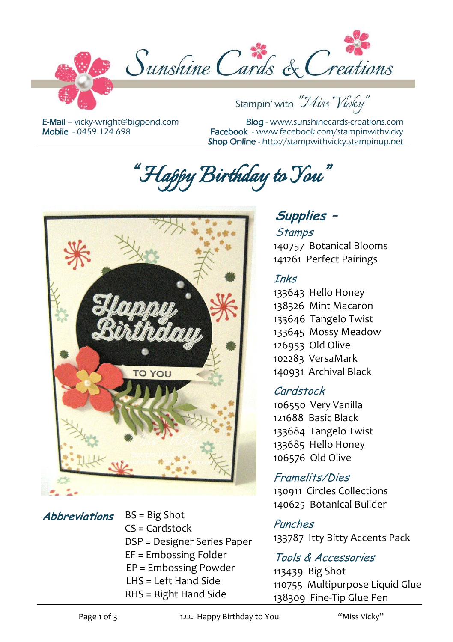

E-Mail – [vicky-wright@bigpond.com](mailto:vicky-wright@bigpond.com) Mobile - 0459 124 698

Blog - [www.sunshinecards-creations.com](http://www.stampspapernstuff.blogspot.com/) Facebook - [www.facebook.com/stampinwithvicky](http://www.facebook.com/stampinwithvicky) Shop Online - http://stampwithvicky.stampinup.net

*"Happy Birthday to You"* 



**Abbreviations** BS = Big Shot  $CS =$ Cardstock DSP = Designer Series Paper EF = Embossing Folder EP = Embossing Powder LHS = Left Hand Side RHS = Right Hand Side

# **Supplies –**

## **Stamps** 140757 Botanical Blooms

# 141261 Perfect Pairings

#### Inks

133643 Hello Honey 138326 Mint Macaron 133646 Tangelo Twist 133645 Mossy Meadow 126953 Old Olive 102283 VersaMark 140931 Archival Black

#### Cardstock

106550 Very Vanilla 121688 Basic Black 133684 Tangelo Twist 133685 Hello Honey 106576 Old Olive

## Framelits/Dies

130911 Circles Collections 140625 Botanical Builder

#### Punches

133787 Itty Bitty Accents Pack

#### Tools & Accessories

113439 Big Shot 110755 Multipurpose Liquid Glue 138309 Fine-Tip Glue Pen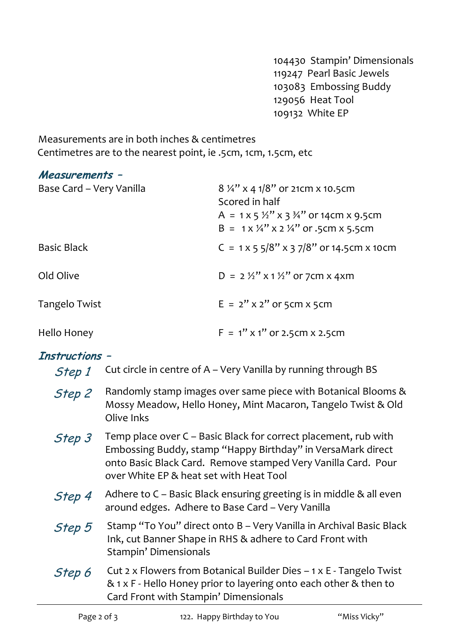104430 Stampin' Dimensionals 119247 Pearl Basic Jewels 103083 Embossing Buddy 129056 Heat Tool 109132 White EP

Measurements are in both inches & centimetres Centimetres are to the nearest point, ie .5cm, 1cm, 1.5cm, etc

#### **Measurements –**

| Base Card - Very Vanilla | $8\frac{1}{4}$ x 4 1/8" or 21 cm x 10.5 cm<br>Scored in half<br>A = 1 x 5 $\frac{1}{2}$ " x 3 $\frac{3}{4}$ " or 14cm x 9.5cm<br>$B = 1 \times 1/4$ " x 2 1/4" or .5cm x 5.5cm |
|--------------------------|--------------------------------------------------------------------------------------------------------------------------------------------------------------------------------|
| Basic Black              | C = $1 \times 5 \frac{5}{8}$ x 3 7/8" or 14.5 cm x 10 cm                                                                                                                       |
| Old Olive                | $D = 2\frac{1}{2}$ x 1 1/2" or 7cm x 4xm                                                                                                                                       |
| Tangelo Twist            | $E = 2''$ x 2" or 5cm x 5cm                                                                                                                                                    |
| Hello Honey              | $F = 1''$ x 1" or 2.5cm x 2.5cm                                                                                                                                                |

#### **Instructions –**

| JII UUTIVIIJ<br>Step 1 | Cut circle in centre of A - Very Vanilla by running through BS                                                                                                                                                                             |
|------------------------|--------------------------------------------------------------------------------------------------------------------------------------------------------------------------------------------------------------------------------------------|
| Step 2                 | Randomly stamp images over same piece with Botanical Blooms &<br>Mossy Meadow, Hello Honey, Mint Macaron, Tangelo Twist & Old<br>Olive Inks                                                                                                |
| Step 3                 | Temp place over C - Basic Black for correct placement, rub with<br>Embossing Buddy, stamp "Happy Birthday" in VersaMark direct<br>onto Basic Black Card. Remove stamped Very Vanilla Card. Pour<br>over White EP & heat set with Heat Tool |
| Step 4                 | Adhere to C - Basic Black ensuring greeting is in middle & all even<br>around edges. Adhere to Base Card - Very Vanilla                                                                                                                    |
| Step 5                 | Stamp "To You" direct onto B - Very Vanilla in Archival Basic Black<br>Ink, cut Banner Shape in RHS & adhere to Card Front with<br>Stampin' Dimensionals                                                                                   |
| Step 6                 | Cut 2 x Flowers from Botanical Builder Dies - 1 x E - Tangelo Twist<br>& 1 x F - Hello Honey prior to layering onto each other & then to<br>Card Front with Stampin' Dimensionals                                                          |